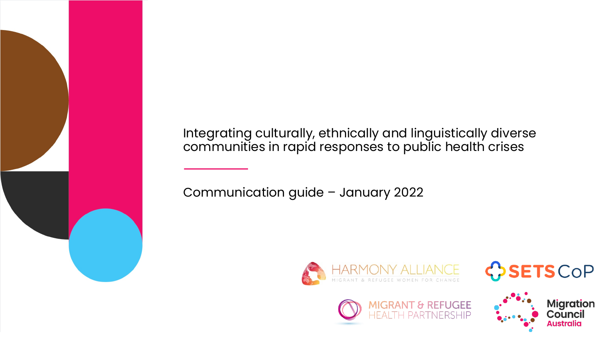Integrating culturally, ethnically and linguistically diverse communities in rapid responses to public health crises

Communication guide – January 2022







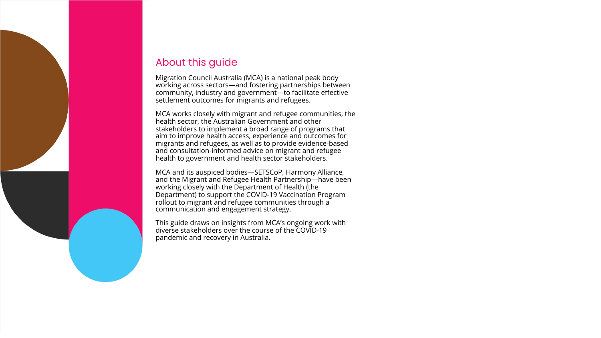# About this guide

Migration Council Australia (MCA) is a national peak body working across sectors—and fostering partnerships between community, industry and government—to facilitate effective settlement outcomes for migrants and refugees.

MCA works closely with migrant and refugee communities, the health sector, the Australian Government and other stakeholders to implement a broad range of programs that aim to improve health access, experience and outcomes for migrants and refugees, as well as to provide evidence-based and consultation-informed advice on migrant and refugee health to government and health sector stakeholders.

MCA and its auspiced bodies—SETSCoP, Harmony Alliance, and the Migrant and Refugee Health Partnership—have been working closely with the Department of Health (the Department) to support the COVID-19 Vaccination Program rollout to migrant and refugee communities through a communication and engagement strategy.

This guide draws on insights from MCA's ongoing work with diverse stakeholders over the course of the COVID-19 pandemic and recovery in Australia.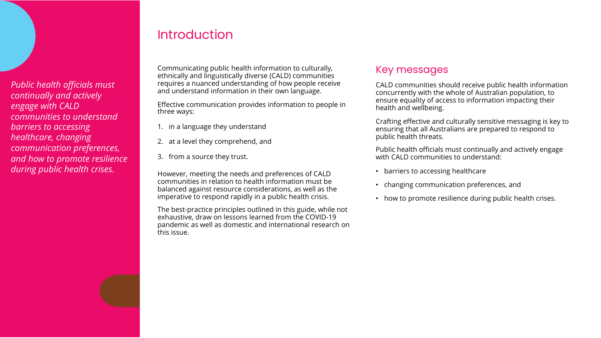*Public health officials must continually and actively engage with CALD communities to understand barriers to accessing healthcare, changing communication preferences, and how to promote resilience during public health crises.*

## Introduction

Communicating public health information to culturally, ethnically and linguistically diverse (CALD) communities requires a nuanced understanding of how people receive and understand information in their own language.

Effective communication provides information to people in three ways:

- 1. in a language they understand
- 2. at a level they comprehend, and
- 3. from a source they trust.

However, meeting the needs and preferences of CALD communities in relation to health information must be balanced against resource considerations, as well as the imperative to respond rapidly in a public health crisis.

The best-practice principles outlined in this guide, while not exhaustive, draw on lessons learned from the COVID-19 pandemic as well as domestic and international research on this issue.

#### Key messages

CALD communities should receive public health information concurrently with the whole of Australian population, to ensure equality of access to information impacting their health and wellbeing.

Crafting effective and culturally sensitive messaging is key to ensuring that all Australians are prepared to respond to public health threats.

Public health officials must continually and actively engage with CALD communities to understand:

- barriers to accessing healthcare
- changing communication preferences, and
- how to promote resilience during public health crises.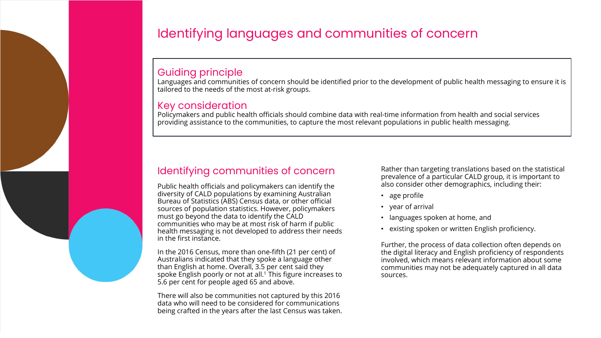

# Identifying languages and communities of concern

#### Guiding principle

Languages and communities of concern should be identified prior to the development of public health messaging to ensure it is tailored to the needs of the most at-risk groups.

#### Key consideration

Policymakers and public health officials should combine data with real-time information from health and social services providing assistance to the communities, to capture the most relevant populations in public health messaging.

## Identifying communities of concern

Public health officials and policymakers can identify the diversity of CALD populations by examining Australian Bureau of Statistics (ABS) Census data, or other official sources of population statistics. However, policymakers must go beyond the data to identify the CALD communities who may be at most risk of harm if public health messaging is not developed to address their needs in the first instance.

In the 2016 Census, more than one-fifth (21 per cent) of Australians indicated that they spoke a language other than English at home. Overall, 3.5 per cent said they spoke English poorly or not at all.<sup>1</sup> This figure increases to 5.6 per cent for people aged 65 and above.

There will also be communities not captured by this 2016 data who will need to be considered for communications being crafted in the years after the last Census was taken. Rather than targeting translations based on the statistical prevalence of a particular CALD group, it is important to also consider other demographics, including their:

- age profile
- year of arrival
- languages spoken at home, and
- existing spoken or written English proficiency.

Further, the process of data collection often depends on the digital literacy and English proficiency of respondents involved, which means relevant information about some communities may not be adequately captured in all data sources.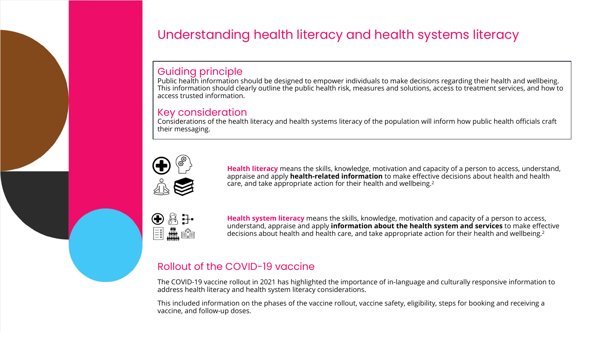

# Understanding health literacy and health systems literacy

#### Guiding principle

Public health information should be designed to empower individuals to make decisions regarding their health and wellbeing. This information should clearly outline the public health risk, measures and solutions, access to treatment services, and how to access trusted information.

#### Key consideration

Considerations of the health literacy and health systems literacy of the population will inform how public health officials craft their messaging.



**Health literacy** means the skills, knowledge, motivation and capacity of a person to access, understand, appraise and apply **health-related information** to make effective decisions about health and health care, and take appropriate action for their health and wellbeing.2



**Health system literacy** means the skills, knowledge, motivation and capacity of a person to access, understand, appraise and apply **information about the health system and services** to make effective decisions about health and health care, and take appropriate action for their health and wellbeing.2

## Rollout of the COVID-19 vaccine

The COVID-19 vaccine rollout in 2021 has highlighted the importance of in-language and culturally responsive information to address health literacy and health system literacy considerations.

This included information on the phases of the vaccine rollout, vaccine safety, eligibility, steps for booking and receiving a vaccine, and follow-up doses.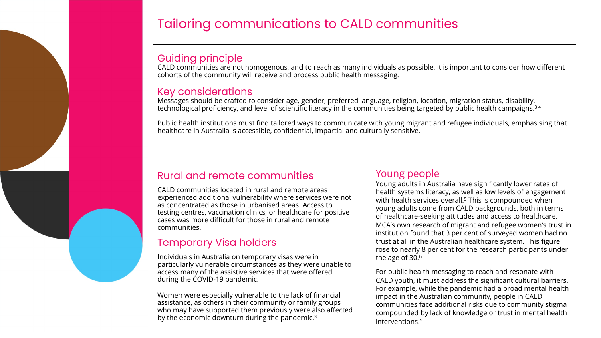

# Tailoring communications to CALD communities

## Guiding principle

CALD communities are not homogenous, and to reach as many individuals as possible, it is important to consider how different cohorts of the community will receive and process public health messaging.

#### Key considerations

Messages should be crafted to consider age, gender, preferred language, religion, location, migration status, disability, technological proficiency, and level of scientific literacy in the communities being targeted by public health campaigns.3 4

Public health institutions must find tailored ways to communicate with young migrant and refugee individuals, emphasising that healthcare in Australia is accessible, confidential, impartial and culturally sensitive.

#### Rural and remote communities

CALD communities located in rural and remote areas experienced additional vulnerability where services were not as concentrated as those in urbanised areas. Access to testing centres, vaccination clinics, or healthcare for positive cases was more difficult for those in rural and remote communities.

### Temporary Visa holders

Individuals in Australia on temporary visas were in particularly vulnerable circumstances as they were unable to access many of the assistive services that were offered during the COVID-19 pandemic.

Women were especially vulnerable to the lack of financial assistance, as others in their community or family groups who may have supported them previously were also affected by the economic downturn during the pandemic.3

## Young people

Young adults in Australia have significantly lower rates of health systems literacy, as well as low levels of engagement with health services overall.<sup>5</sup> This is compounded when young adults come from CALD backgrounds, both in terms of healthcare-seeking attitudes and access to healthcare. MCA's own research of migrant and refugee women's trust in institution found that 3 per cent of surveyed women had no trust at all in the Australian healthcare system. This figure rose to nearly 8 per cent for the research participants under the age of 30.6

For public health messaging to reach and resonate with CALD youth, it must address the significant cultural barriers. For example, while the pandemic had a broad mental health impact in the Australian community, people in CALD communities face additional risks due to community stigma compounded by lack of knowledge or trust in mental health interventions.5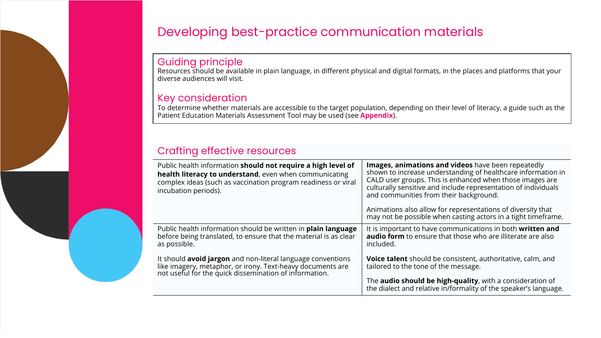# Developing best-practice communication materials

## Guiding principle

Resources should be available in plain language, in different physical and digital formats, in the places and platforms that your diverse audiences will visit.

#### Key consideration

To determine whether materials are accessible to the target population, depending on their level of literacy, a guide such as the Patient Education Materials Assessment Tool may be used (see **Appendix**).

## Crafting effective resources

| Public health information should not require a high level of<br>health literacy to understand, even when communicating<br>complex ideas (such as vaccination program readiness or viral<br>incubation periods). | Images, animations and videos have been repeatedly<br>shown to increase understanding of healthcare information in<br>CALD user groups. This is enhanced when those images are<br>culturally sensitive and include representation of individuals<br>and communities from their background.<br>Animations also allow for representations of diversity that<br>may not be possible when casting actors in a tight timeframe. |
|-----------------------------------------------------------------------------------------------------------------------------------------------------------------------------------------------------------------|----------------------------------------------------------------------------------------------------------------------------------------------------------------------------------------------------------------------------------------------------------------------------------------------------------------------------------------------------------------------------------------------------------------------------|
|                                                                                                                                                                                                                 |                                                                                                                                                                                                                                                                                                                                                                                                                            |
| Public health information should be written in <b>plain language</b><br>before being translated, to ensure that the material is as clear<br>as possible.                                                        | It is important to have communications in both written and<br><b>audio form</b> to ensure that those who are illiterate are also<br>included.                                                                                                                                                                                                                                                                              |
| It should <b>avoid jargon</b> and non-literal language conventions<br>like imagery, metaphor, or irony. Text-heavy documents are<br>not useful for the quick dissemination of information.                      | <b>Voice talent</b> should be consistent, authoritative, calm, and<br>tailored to the tone of the message.                                                                                                                                                                                                                                                                                                                 |
|                                                                                                                                                                                                                 | The <b>audio should be high-quality</b> , with a consideration of<br>the dialect and relative in/formality of the speaker's language.                                                                                                                                                                                                                                                                                      |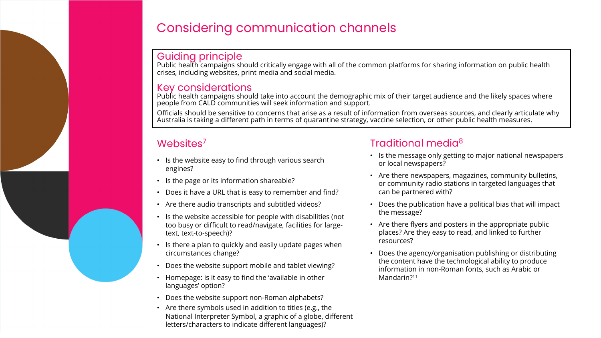

# Considering communication channels

Guiding principle<br>Public health campaigns should critically engage with all of the common platforms for sharing information on public health crises, including websites, print media and social media.

#### Key considerations

Public health campaigns should take into account the demographic mix of their target audience and the likely spaces where people from CALD communities will seek information and support.

Officials should be sensitive to concerns that arise as a result of information from overseas sources, and clearly articulate why Australia is taking a different path in terms of quarantine strategy, vaccine selection, or other public health measures.

## Websites<sup>7</sup>

- Is the website easy to find through various search engines?
- Is the page or its information shareable?
- Does it have a URL that is easy to remember and find?
- Are there audio transcripts and subtitled videos?
- Is the website accessible for people with disabilities (not too busy or difficult to read/navigate, facilities for largetext, text-to-speech)?
- Is there a plan to quickly and easily update pages when circumstances change?
- Does the website support mobile and tablet viewing?
- Homepage: is it easy to find the 'available in other languages' option?
- Does the website support non-Roman alphabets?
- Are there symbols used in addition to titles (e.g., the National Interpreter Symbol, a graphic of a globe, different letters/characters to indicate different languages)?

## Traditional media8

- Is the message only getting to major national newspapers or local newspapers?
- Are there newspapers, magazines, community bulletins, or community radio stations in targeted languages that can be partnered with?
- Does the publication have a political bias that will impact the message?
- Are there flyers and posters in the appropriate public places? Are they easy to read, and linked to further resources?
- Does the agency/organisation publishing or distributing the content have the technological ability to produce information in non-Roman fonts, such as Arabic or Mandarin?<sup>11</sup>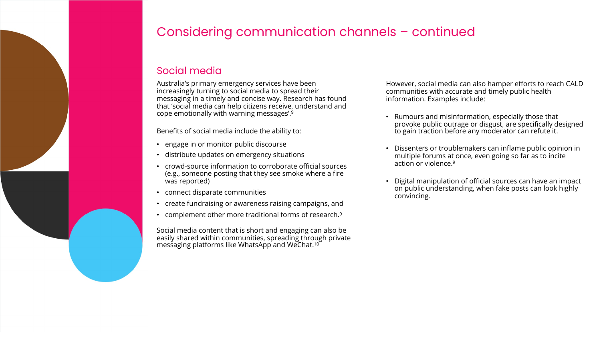

# Considering communication channels – continued

## Social media

Australia's primary emergency services have been increasingly turning to social media to spread their messaging in a timely and concise way. Research has found that 'social media can help citizens receive, understand and cope emotionally with warning messages'.9

Benefits of social media include the ability to:

- engage in or monitor public discourse
- distribute updates on emergency situations
- crowd-source information to corroborate official sources (e.g., someone posting that they see smoke where a fire was reported)
- connect disparate communities
- create fundraising or awareness raising campaigns, and
- complement other more traditional forms of research.<sup>9</sup>

Social media content that is short and engaging can also be easily shared within communities, spreading through private messaging platforms like WhatsApp and WeChat.10

However, social media can also hamper efforts to reach CALD communities with accurate and timely public health information. Examples include:

- Rumours and misinformation, especially those that provoke public outrage or disgust, are specifically designed to gain traction before any moderator can refute it.
- Dissenters or troublemakers can inflame public opinion in multiple forums at once, even going so far as to incite action or violence.9
- Digital manipulation of official sources can have an impact on public understanding, when fake posts can look highly convincing.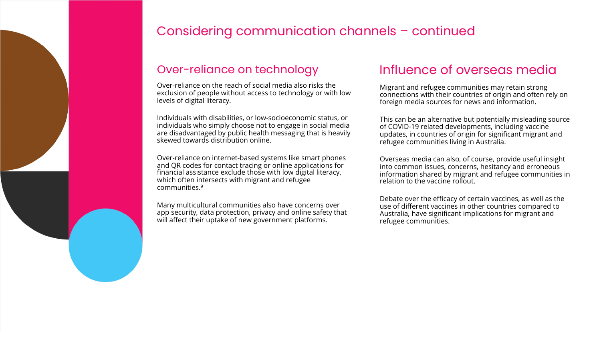

# Considering communication channels – continued

## Over-reliance on technology

Over-reliance on the reach of social media also risks the exclusion of people without access to technology or with low levels of digital literacy.

Individuals with disabilities, or low-socioeconomic status, or individuals who simply choose not to engage in social media are disadvantaged by public health messaging that is heavily skewed towards distribution online.

Over-reliance on internet-based systems like smart phones and QR codes for contact tracing or online applications for financial assistance exclude those with low digital literacy, which often intersects with migrant and refugee communities.9

Many multicultural communities also have concerns over app security, data protection, privacy and online safety that will affect their uptake of new government platforms.

## Influence of overseas media

Migrant and refugee communities may retain strong connections with their countries of origin and often rely on foreign media sources for news and information.

This can be an alternative but potentially misleading source of COVID-19 related developments, including vaccine updates, in countries of origin for significant migrant and refugee communities living in Australia.

Overseas media can also, of course, provide useful insight into common issues, concerns, hesitancy and erroneous information shared by migrant and refugee communities in relation to the vaccine rollout.

Debate over the efficacy of certain vaccines, as well as the use of different vaccines in other countries compared to Australia, have significant implications for migrant and refugee communities.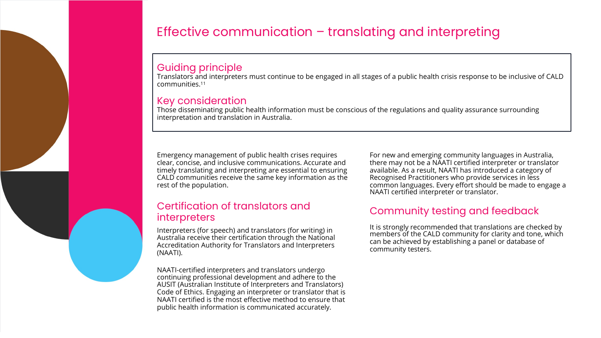# Effective communication – translating and interpreting

#### Guiding principle

Translators and interpreters must continue to be engaged in all stages of a public health crisis response to be inclusive of CALD communities.11

#### Key consideration

Those disseminating public health information must be conscious of the regulations and quality assurance surrounding interpretation and translation in Australia.

Emergency management of public health crises requires clear, concise, and inclusive communications. Accurate and timely translating and interpreting are essential to ensuring CALD communities receive the same key information as the rest of the population.

#### Certification of translators and interpreters

Interpreters (for speech) and translators (for writing) in Australia receive their certification through the National Accreditation Authority for Translators and Interpreters (NAATI).

NAATI-certified interpreters and translators undergo continuing professional development and adhere to the AUSIT (Australian Institute of Interpreters and Translators) Code of Ethics. Engaging an interpreter or translator that is NAATI certified is the most effective method to ensure that public health information is communicated accurately.

For new and emerging community languages in Australia, there may not be a NAATI certified interpreter or translator available. As a result, NAATI has introduced a category of Recognised Practitioners who provide services in less common languages. Every effort should be made to engage a NAATI certified interpreter or translator.

## Community testing and feedback

It is strongly recommended that translations are checked by members of the CALD community for clarity and tone, which can be achieved by establishing a panel or database of community testers.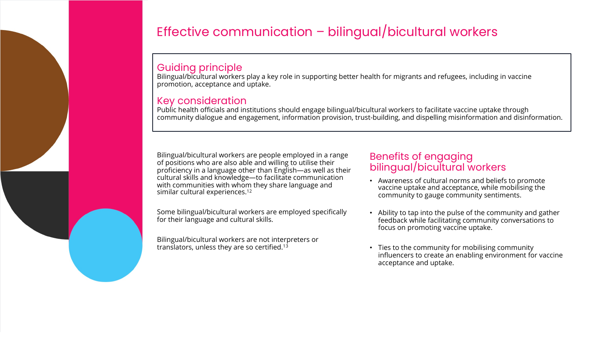# Effective communication – bilingual/bicultural workers

### Guiding principle

Bilingual/bicultural workers play a key role in supporting better health for migrants and refugees, including in vaccine promotion, acceptance and uptake.

### Key consideration

Public health officials and institutions should engage bilingual/bicultural workers to facilitate vaccine uptake through community dialogue and engagement, information provision, trust-building, and dispelling misinformation and disinformation.

Bilingual/bicultural workers are people employed in a range of positions who are also able and willing to utilise their proficiency in a language other than English—as well as their cultural skills and knowledge—to facilitate communication with communities with whom they share language and similar cultural experiences.<sup>12</sup>

Some bilingual/bicultural workers are employed specifically for their language and cultural skills.

Bilingual/bicultural workers are not interpreters or translators, unless they are so certified.13

#### Benefits of engaging bilingual/bicultural workers

- Awareness of cultural norms and beliefs to promote vaccine uptake and acceptance, while mobilising the community to gauge community sentiments.
- Ability to tap into the pulse of the community and gather feedback while facilitating community conversations to focus on promoting vaccine uptake.
- Ties to the community for mobilising community influencers to create an enabling environment for vaccine acceptance and uptake.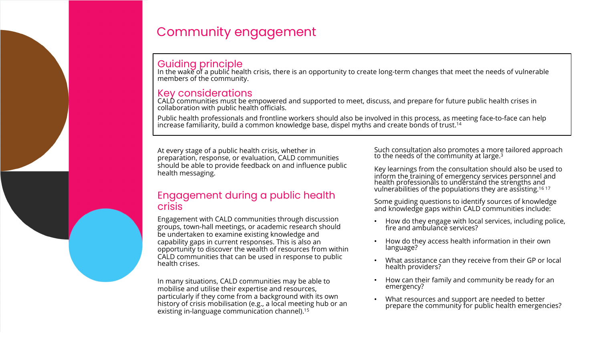

# Community engagement

### Guiding principle

In the wake of a public health crisis, there is an opportunity to create long-term changes that meet the needs of vulnerable members of the community.

#### Key considerations

CALD communities must be empowered and supported to meet, discuss, and prepare for future public health crises in collaboration with public health officials.

Public health professionals and frontline workers should also be involved in this process, as meeting face-to-face can help increase familiarity, build a common knowledge base, dispel myths and create bonds of trust.<sup>14</sup>

At every stage of a public health crisis, whether in preparation, response, or evaluation, CALD communities should be able to provide feedback on and influence public health messaging.

#### Engagement during a public health crisis

Engagement with CALD communities through discussion groups, town-hall meetings, or academic research should be undertaken to examine existing knowledge and capability gaps in current responses. This is also an opportunity to discover the wealth of resources from within CALD communities that can be used in response to public health crises.

In many situations, CALD communities may be able to mobilise and utilise their expertise and resources, particularly if they come from a background with its own history of crisis mobilisation (e.g., a local meeting hub or an existing in-language communication channel).15

Such consultation also promotes a more tailored approach to the needs of the community at large. $^{\rm 3}$ 

Key learnings from the consultation should also be used to inform the training of emergency services personnel and health professionals to understand the strengths and vulnerabilities of the populations they are assisting.16 17

Some guiding questions to identify sources of knowledge and knowledge gaps within CALD communities include:

- How do they engage with local services, including police, fire and ambulance services?
- How do they access health information in their own language?
- What assistance can they receive from their GP or local health providers?
- How can their family and community be ready for an emergency?
- What resources and support are needed to better prepare the community for public health emergencies?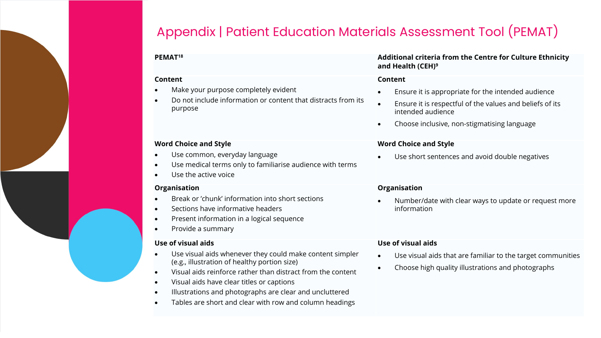# Appendix | Patient Education Materials Assessment Tool (PEMAT)

#### **Content**

- Make your purpose completely evident
- Do not include information or content that distracts from its purpose

#### **Word Choice and Style**

- Use common, everyday language
- Use medical terms only to familiarise audience with terms
- Use the active voice

#### **Organisation**

- Break or 'chunk' information into short sections
- Sections have informative headers
- Present information in a logical sequence
- Provide a summary

#### **Use of visual aids**

- Use visual aids whenever they could make content simpler (e.g., illustration of healthy portion size)
- Visual aids reinforce rather than distract from the content
- Visual aids have clear titles or captions
- Illustrations and photographs are clear and uncluttered
- Tables are short and clear with row and column headings

#### **PEMAT18 Additional criteria from the Centre for Culture Ethnicity and Health (CEH)9**

#### **Content**

- Ensure it is appropriate for the intended audience
- Ensure it is respectful of the values and beliefs of its intended audience
- Choose inclusive, non-stigmatising language

#### **Word Choice and Style**

Use short sentences and avoid double negatives

#### **Organisation**

• Number/date with clear ways to update or request more information

#### **Use of visual aids**

- Use visual aids that are familiar to the target communities
- Choose high quality illustrations and photographs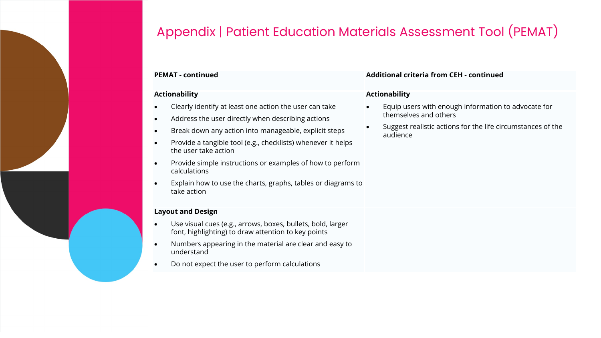

# Appendix | Patient Education Materials Assessment Tool (PEMAT)

#### **Actionability**

- Clearly identify at least one action the user can take
- Address the user directly when describing actions
- Break down any action into manageable, explicit steps
- Provide a tangible tool (e.g., checklists) whenever it helps the user take action
- Provide simple instructions or examples of how to perform calculations
- Explain how to use the charts, graphs, tables or diagrams to take action

#### **Layout and Design**

- Use visual cues (e.g., arrows, boxes, bullets, bold, larger font, highlighting) to draw attention to key points
- Numbers appearing in the material are clear and easy to understand
- Do not expect the user to perform calculations

#### **PEMAT - continued Additional criteria from CEH - continued**

#### **Actionability**

- Equip users with enough information to advocate for themselves and others
- Suggest realistic actions for the life circumstances of the audience